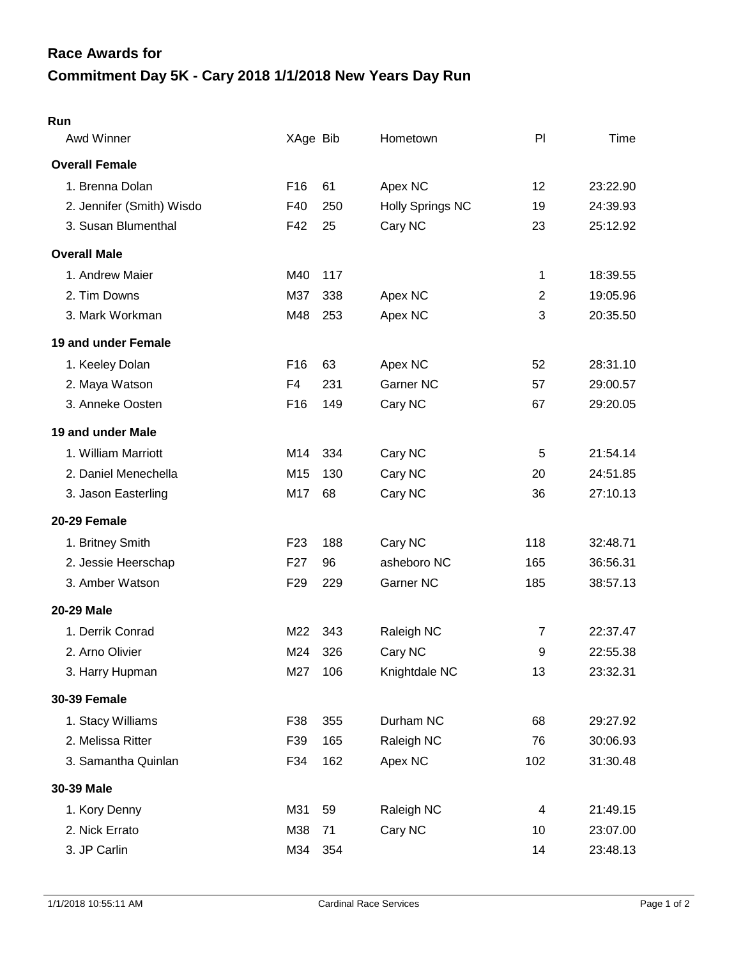## **Commitment Day 5K - Cary 2018 1/1/2018 New Years Day Run Race Awards for**

## **Run**

| Awd Winner                | XAge Bib        |     | Hometown                | PI             | Time     |
|---------------------------|-----------------|-----|-------------------------|----------------|----------|
| <b>Overall Female</b>     |                 |     |                         |                |          |
| 1. Brenna Dolan           | F16             | 61  | Apex NC                 | 12             | 23:22.90 |
| 2. Jennifer (Smith) Wisdo | F40             | 250 | <b>Holly Springs NC</b> | 19             | 24:39.93 |
| 3. Susan Blumenthal       | F42             | 25  | Cary NC                 | 23             | 25:12.92 |
| <b>Overall Male</b>       |                 |     |                         |                |          |
| 1. Andrew Maier           | M40             | 117 |                         | 1              | 18:39.55 |
| 2. Tim Downs              | M37             | 338 | Apex NC                 | $\overline{2}$ | 19:05.96 |
| 3. Mark Workman           | M48             | 253 | Apex NC                 | 3              | 20:35.50 |
| 19 and under Female       |                 |     |                         |                |          |
| 1. Keeley Dolan           | F <sub>16</sub> | 63  | Apex NC                 | 52             | 28:31.10 |
| 2. Maya Watson            | F4              | 231 | <b>Garner NC</b>        | 57             | 29:00.57 |
| 3. Anneke Oosten          | F <sub>16</sub> | 149 | Cary NC                 | 67             | 29:20.05 |
| 19 and under Male         |                 |     |                         |                |          |
| 1. William Marriott       | M14             | 334 | Cary NC                 | 5              | 21:54.14 |
| 2. Daniel Menechella      | M15             | 130 | Cary NC                 | 20             | 24:51.85 |
| 3. Jason Easterling       | M17             | 68  | Cary NC                 | 36             | 27:10.13 |
| 20-29 Female              |                 |     |                         |                |          |
| 1. Britney Smith          | F <sub>23</sub> | 188 | Cary NC                 | 118            | 32:48.71 |
| 2. Jessie Heerschap       | F <sub>27</sub> | 96  | asheboro NC             | 165            | 36:56.31 |
| 3. Amber Watson           | F <sub>29</sub> | 229 | Garner NC               | 185            | 38:57.13 |
| <b>20-29 Male</b>         |                 |     |                         |                |          |
| 1. Derrik Conrad          | M22             | 343 | Raleigh NC              | $\overline{7}$ | 22:37.47 |
| 2. Arno Olivier           | M24             | 326 | Cary NC                 | 9              | 22:55.38 |
| 3. Harry Hupman           | M27             | 106 | Knightdale NC           | 13             | 23:32.31 |
| <b>30-39 Female</b>       |                 |     |                         |                |          |
| 1. Stacy Williams         | F38             | 355 | Durham NC               | 68             | 29:27.92 |
| 2. Melissa Ritter         | F39             | 165 | Raleigh NC              | 76             | 30:06.93 |
| 3. Samantha Quinlan       | F34             | 162 | Apex NC                 | 102            | 31:30.48 |
| 30-39 Male                |                 |     |                         |                |          |
| 1. Kory Denny             | M31             | 59  | Raleigh NC              | 4              | 21:49.15 |
| 2. Nick Errato            | M38             | 71  | Cary NC                 | 10             | 23:07.00 |
| 3. JP Carlin              | M34             | 354 |                         | 14             | 23:48.13 |